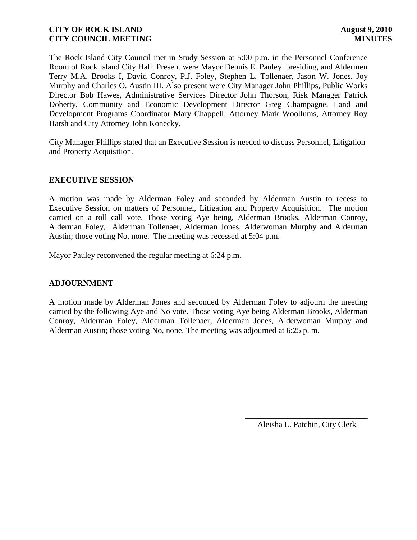The Rock Island City Council met in Study Session at 5:00 p.m. in the Personnel Conference Room of Rock Island City Hall. Present were Mayor Dennis E. Pauley presiding, and Aldermen Terry M.A. Brooks I, David Conroy, P.J. Foley, Stephen L. Tollenaer, Jason W. Jones, Joy Murphy and Charles O. Austin III. Also present were City Manager John Phillips, Public Works Director Bob Hawes, Administrative Services Director John Thorson, Risk Manager Patrick Doherty, Community and Economic Development Director Greg Champagne, Land and Development Programs Coordinator Mary Chappell, Attorney Mark Woollums, Attorney Roy Harsh and City Attorney John Konecky.

City Manager Phillips stated that an Executive Session is needed to discuss Personnel, Litigation and Property Acquisition.

### **EXECUTIVE SESSION**

A motion was made by Alderman Foley and seconded by Alderman Austin to recess to Executive Session on matters of Personnel, Litigation and Property Acquisition. The motion carried on a roll call vote. Those voting Aye being, Alderman Brooks, Alderman Conroy, Alderman Foley, Alderman Tollenaer, Alderman Jones, Alderwoman Murphy and Alderman Austin; those voting No, none. The meeting was recessed at 5:04 p.m.

Mayor Pauley reconvened the regular meeting at 6:24 p.m.

### **ADJOURNMENT**

A motion made by Alderman Jones and seconded by Alderman Foley to adjourn the meeting carried by the following Aye and No vote. Those voting Aye being Alderman Brooks, Alderman Conroy, Alderman Foley, Alderman Tollenaer, Alderman Jones, Alderwoman Murphy and Alderman Austin; those voting No, none. The meeting was adjourned at 6:25 p. m.

> \_\_\_\_\_\_\_\_\_\_\_\_\_\_\_\_\_\_\_\_\_\_\_\_\_\_\_\_\_\_ Aleisha L. Patchin, City Clerk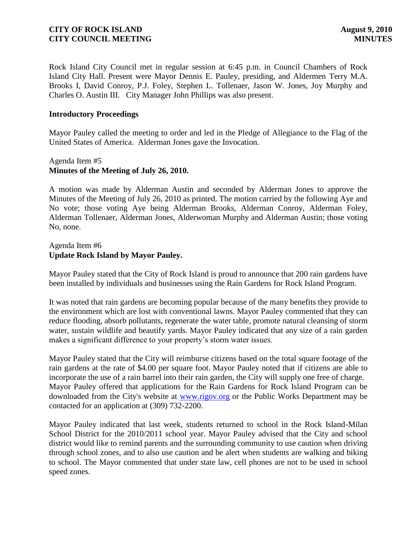Rock Island City Council met in regular session at 6:45 p.m. in Council Chambers of Rock Island City Hall. Present were Mayor Dennis E. Pauley, presiding, and Aldermen Terry M.A. Brooks I, David Conroy, P.J. Foley, Stephen L. Tollenaer, Jason W. Jones, Joy Murphy and Charles O. Austin III. City Manager John Phillips was also present.

### **Introductory Proceedings**

Mayor Pauley called the meeting to order and led in the Pledge of Allegiance to the Flag of the United States of America. Alderman Jones gave the Invocation.

# Agenda Item #5 **Minutes of the Meeting of July 26, 2010.**

A motion was made by Alderman Austin and seconded by Alderman Jones to approve the Minutes of the Meeting of July 26, 2010 as printed. The motion carried by the following Aye and No vote; those voting Aye being Alderman Brooks, Alderman Conroy, Alderman Foley, Alderman Tollenaer, Alderman Jones, Alderwoman Murphy and Alderman Austin; those voting No, none.

## Agenda Item #6 **Update Rock Island by Mayor Pauley.**

Mayor Pauley stated that the City of Rock Island is proud to announce that 200 rain gardens have been installed by individuals and businesses using the Rain Gardens for Rock Island Program.

It was noted that rain gardens are becoming popular because of the many benefits they provide to the environment which are lost with conventional lawns. Mayor Pauley commented that they can reduce flooding, absorb pollutants, regenerate the water table, promote natural cleansing of storm water, sustain wildlife and beautify yards. Mayor Pauley indicated that any size of a rain garden makes a significant difference to your property's storm water issues.

Mayor Pauley stated that the City will reimburse citizens based on the total square footage of the rain gardens at the rate of \$4.00 per square foot. Mayor Pauley noted that if citizens are able to incorporate the use of a rain barrel into their rain garden, the City will supply one free of charge. Mayor Pauley offered that applications for the Rain Gardens for Rock Island Program can be downloaded from the City's website at [www.rigov.org](http://r20.rs6.net/tn.jsp?et=1103608431389&s=154&e=001hV6Cmc33Xgfn8UYm2vC4AskqDPyMuWwUi-rA9nzy3RIOfuGenJV8eowylZniPK3Y39X1-ss3MN5pmbhADJUNneUDrG6Lj6ByDQLudYcZ7-0=) or the Public Works Department may be contacted for an application at (309) 732-2200.

Mayor Pauley indicated that last week, students returned to school in the Rock Island-Milan School District for the 2010/2011 school year. Mayor Pauley advised that the City and school district would like to remind parents and the surrounding community to use caution when driving through school zones, and to also use caution and be alert when students are walking and biking to school. The Mayor commented that under state law, cell phones are not to be used in school speed zones.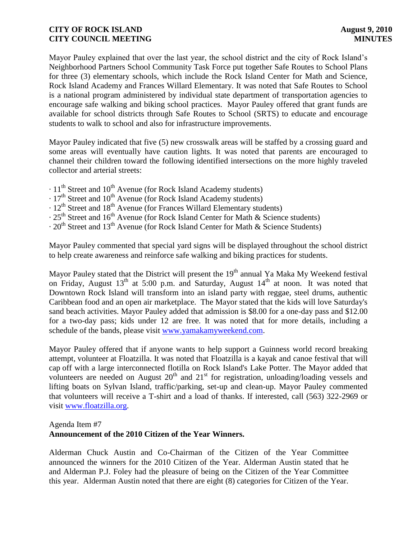Mayor Pauley explained that over the last year, the school district and the city of Rock Island's Neighborhood Partners School Community Task Force put together Safe Routes to School Plans for three (3) elementary schools, which include the Rock Island Center for Math and Science, Rock Island Academy and Frances Willard Elementary. It was noted that Safe Routes to School is a national program administered by individual state department of transportation agencies to encourage safe walking and biking school practices. Mayor Pauley offered that grant funds are available for school districts through Safe Routes to School (SRTS) to educate and encourage students to walk to school and also for infrastructure improvements.

Mayor Pauley indicated that five (5) new crosswalk areas will be staffed by a crossing guard and some areas will eventually have caution lights. It was noted that parents are encouraged to channel their children toward the following identified intersections on the more highly traveled collector and arterial streets:

- $\cdot$  11<sup>th</sup> Street and 10<sup>th</sup> Avenue (for Rock Island Academy students)
- $\cdot$  17<sup>th</sup> Street and 10<sup>th</sup> Avenue (for Rock Island Academy students)
- $\cdot$  12<sup>th</sup> Street and 18<sup>th</sup> Avenue (for Frances Willard Elementary students)
- $\cdot$  25<sup>th</sup> Street and 16<sup>th</sup> Avenue (for Rock Island Center for Math & Science students)
- · 20th Street and 13th Avenue (for Rock Island Center for Math & Science Students)

Mayor Pauley commented that special yard signs will be displayed throughout the school district to help create awareness and reinforce safe walking and biking practices for students.

Mayor Pauley stated that the District will present the  $19<sup>th</sup>$  annual Ya Maka My Weekend festival on Friday, August  $13<sup>th</sup>$  at 5:00 p.m. and Saturday, August  $14<sup>th</sup>$  at noon. It was noted that Downtown Rock Island will transform into an island party with reggae, steel drums, authentic Caribbean food and an open air marketplace. The Mayor stated that the kids will love Saturday's sand beach activities. Mayor Pauley added that admission is \$8.00 for a one-day pass and \$12.00 for a two-day pass; kids under 12 are free. It was noted that for more details, including a schedule of the bands, please visit [www.yamakamyweekend.com.](http://r20.rs6.net/tn.jsp?et=1103608431389&s=154&e=001hV6Cmc33XgeuEHelwEdPtRaBNQb4Om43EwkiP-lcZzaANYpADpMXq5NbXgMhK0tlV8Pcr2KZ68TuZHf7Wn2TLEqR5U8Ntig9-l---iJR7RDuE9xYc7PzJgSqLVlVAGmX)

Mayor Pauley offered that if anyone wants to help support a Guinness world record breaking attempt, volunteer at Floatzilla. It was noted that Floatzilla is a kayak and canoe festival that will cap off with a large interconnected flotilla on Rock Island's Lake Potter. The Mayor added that volunteers are needed on August  $20<sup>th</sup>$  and  $21<sup>st</sup>$  for registration, unloading/loading vessels and lifting boats on Sylvan Island, traffic/parking, set-up and clean-up. Mayor Pauley commented that volunteers will receive a T-shirt and a load of thanks. If interested, call (563) 322-2969 or visit [www.floatzilla.org.](http://www.floatzilla.org/)

### Agenda Item #7

### **Announcement of the 2010 Citizen of the Year Winners.**

Alderman Chuck Austin and Co-Chairman of the Citizen of the Year Committee announced the winners for the 2010 Citizen of the Year. Alderman Austin stated that he and Alderman P.J. Foley had the pleasure of being on the Citizen of the Year Committee this year. Alderman Austin noted that there are eight (8) categories for Citizen of the Year.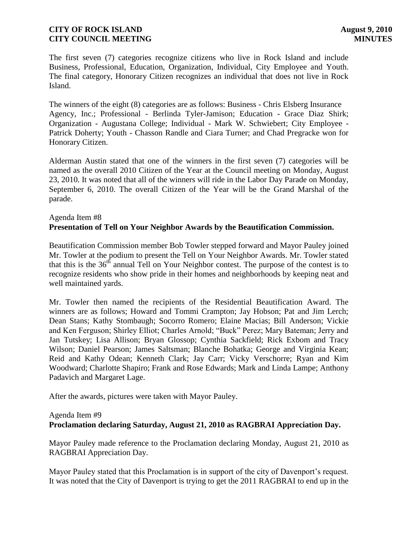The first seven (7) categories recognize citizens who live in Rock Island and include Business, Professional, Education, Organization, Individual, City Employee and Youth. The final category, Honorary Citizen recognizes an individual that does not live in Rock Island.

The winners of the eight (8) categories are as follows: Business - Chris Elsberg Insurance Agency, Inc.; Professional - Berlinda Tyler-Jamison; Education - Grace Diaz Shirk; Organization - Augustana College; Individual - Mark W. Schwiebert; City Employee - Patrick Doherty; Youth - Chasson Randle and Ciara Turner; and Chad Pregracke won for Honorary Citizen.

Alderman Austin stated that one of the winners in the first seven (7) categories will be named as the overall 2010 Citizen of the Year at the Council meeting on Monday, August 23, 2010. It was noted that all of the winners will ride in the Labor Day Parade on Monday, September 6, 2010. The overall Citizen of the Year will be the Grand Marshal of the parade.

# Agenda Item #8 **Presentation of Tell on Your Neighbor Awards by the Beautification Commission.**

Beautification Commission member Bob Towler stepped forward and Mayor Pauley joined Mr. Towler at the podium to present the Tell on Your Neighbor Awards. Mr. Towler stated that this is the  $36<sup>th</sup>$  annual Tell on Your Neighbor contest. The purpose of the contest is to recognize residents who show pride in their homes and neighborhoods by keeping neat and well maintained yards.

Mr. Towler then named the recipients of the Residential Beautification Award. The winners are as follows; Howard and Tommi Crampton; Jay Hobson; Pat and Jim Lerch; Dean Stans; Kathy Stombaugh; Socorro Romero; Elaine Macias; Bill Anderson; Vickie and Ken Ferguson; Shirley Elliot; Charles Arnold; "Buck" Perez; Mary Bateman; Jerry and Jan Tutskey; Lisa Allison; Bryan Glossop; Cynthia Sackfield; Rick Exbom and Tracy Wilson; Daniel Pearson; James Saltsman; Blanche Bohatka; George and Virginia Kean; Reid and Kathy Odean; Kenneth Clark; Jay Carr; Vicky Verschorre; Ryan and Kim Woodward; Charlotte Shapiro; Frank and Rose Edwards; Mark and Linda Lampe; Anthony Padavich and Margaret Lage.

After the awards, pictures were taken with Mayor Pauley.

#### Agenda Item #9

# **Proclamation declaring Saturday, August 21, 2010 as RAGBRAI Appreciation Day.**

Mayor Pauley made reference to the Proclamation declaring Monday, August 21, 2010 as RAGBRAI Appreciation Day.

Mayor Pauley stated that this Proclamation is in support of the city of Davenport's request. It was noted that the City of Davenport is trying to get the 2011 RAGBRAI to end up in the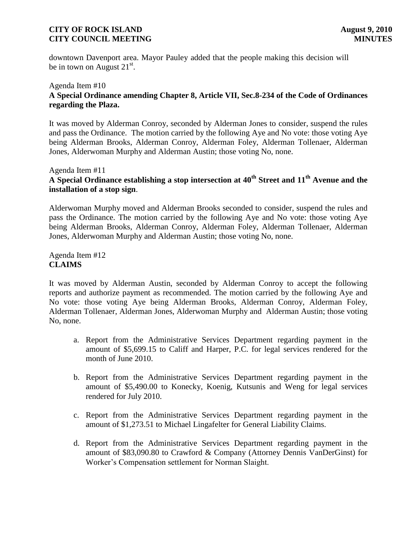downtown Davenport area. Mayor Pauley added that the people making this decision will be in town on August  $21^{st}$ .

# Agenda Item #10 **A Special Ordinance amending Chapter 8, Article VII, Sec.8-234 of the Code of Ordinances regarding the Plaza.**

It was moved by Alderman Conroy, seconded by Alderman Jones to consider, suspend the rules and pass the Ordinance. The motion carried by the following Aye and No vote: those voting Aye being Alderman Brooks, Alderman Conroy, Alderman Foley, Alderman Tollenaer, Alderman Jones, Alderwoman Murphy and Alderman Austin; those voting No, none.

# Agenda Item #11 **A Special Ordinance establishing a stop intersection at 40th Street and 11th Avenue and the installation of a stop sign**.

Alderwoman Murphy moved and Alderman Brooks seconded to consider, suspend the rules and pass the Ordinance. The motion carried by the following Aye and No vote: those voting Aye being Alderman Brooks, Alderman Conroy, Alderman Foley, Alderman Tollenaer, Alderman Jones, Alderwoman Murphy and Alderman Austin; those voting No, none.

Agenda Item #12 **CLAIMS**

It was moved by Alderman Austin, seconded by Alderman Conroy to accept the following reports and authorize payment as recommended. The motion carried by the following Aye and No vote: those voting Aye being Alderman Brooks, Alderman Conroy, Alderman Foley, Alderman Tollenaer, Alderman Jones, Alderwoman Murphy and Alderman Austin; those voting No, none.

- a. Report from the Administrative Services Department regarding payment in the amount of \$5,699.15 to Califf and Harper, P.C. for legal services rendered for the month of June 2010.
- b. Report from the Administrative Services Department regarding payment in the amount of \$5,490.00 to Konecky, Koenig, Kutsunis and Weng for legal services rendered for July 2010.
- c. Report from the Administrative Services Department regarding payment in the amount of \$1,273.51 to Michael Lingafelter for General Liability Claims.
- d. Report from the Administrative Services Department regarding payment in the amount of \$83,090.80 to Crawford & Company (Attorney Dennis VanDerGinst) for Worker's Compensation settlement for Norman Slaight.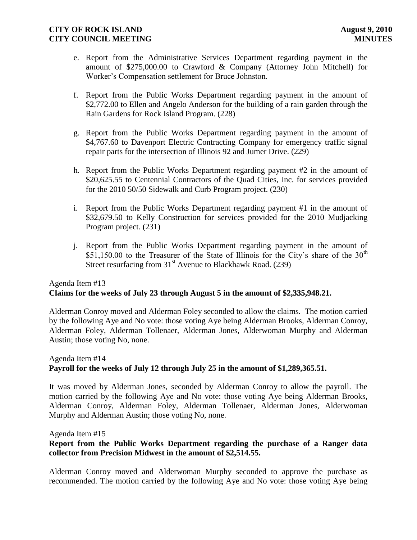- e. Report from the Administrative Services Department regarding payment in the amount of \$275,000.00 to Crawford & Company (Attorney John Mitchell) for Worker's Compensation settlement for Bruce Johnston.
- f. Report from the Public Works Department regarding payment in the amount of \$2,772.00 to Ellen and Angelo Anderson for the building of a rain garden through the Rain Gardens for Rock Island Program. (228)
- g. Report from the Public Works Department regarding payment in the amount of \$4,767.60 to Davenport Electric Contracting Company for emergency traffic signal repair parts for the intersection of Illinois 92 and Jumer Drive. (229)
- h. Report from the Public Works Department regarding payment #2 in the amount of \$20,625.55 to Centennial Contractors of the Quad Cities, Inc. for services provided for the 2010 50/50 Sidewalk and Curb Program project. (230)
- i. Report from the Public Works Department regarding payment #1 in the amount of \$32,679.50 to Kelly Construction for services provided for the 2010 Mudjacking Program project. (231)
- j. Report from the Public Works Department regarding payment in the amount of \$51,150.00 to the Treasurer of the State of Illinois for the City's share of the  $30<sup>th</sup>$ Street resurfacing from  $31<sup>st</sup>$  Avenue to Blackhawk Road. (239)

# Agenda Item #13 **Claims for the weeks of July 23 through August 5 in the amount of \$2,335,948.21.**

Alderman Conroy moved and Alderman Foley seconded to allow the claims. The motion carried by the following Aye and No vote: those voting Aye being Alderman Brooks, Alderman Conroy, Alderman Foley, Alderman Tollenaer, Alderman Jones, Alderwoman Murphy and Alderman Austin; those voting No, none.

# Agenda Item #14 **Payroll for the weeks of July 12 through July 25 in the amount of \$1,289,365.51.**

It was moved by Alderman Jones, seconded by Alderman Conroy to allow the payroll. The motion carried by the following Aye and No vote: those voting Aye being Alderman Brooks, Alderman Conroy, Alderman Foley, Alderman Tollenaer, Alderman Jones, Alderwoman Murphy and Alderman Austin; those voting No, none.

Agenda Item #15

# **Report from the Public Works Department regarding the purchase of a Ranger data collector from Precision Midwest in the amount of \$2,514.55.**

Alderman Conroy moved and Alderwoman Murphy seconded to approve the purchase as recommended. The motion carried by the following Aye and No vote: those voting Aye being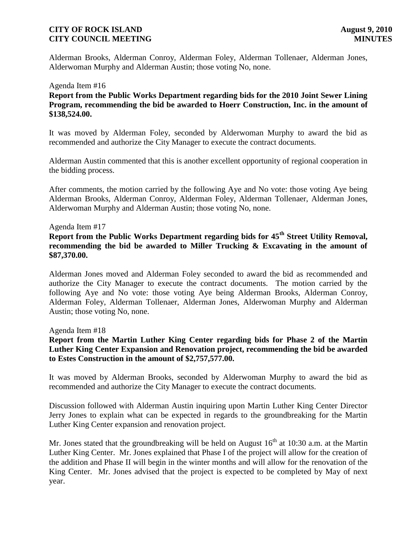Alderman Brooks, Alderman Conroy, Alderman Foley, Alderman Tollenaer, Alderman Jones, Alderwoman Murphy and Alderman Austin; those voting No, none.

#### Agenda Item #16

**Report from the Public Works Department regarding bids for the 2010 Joint Sewer Lining Program, recommending the bid be awarded to Hoerr Construction, Inc. in the amount of \$138,524.00.**

It was moved by Alderman Foley, seconded by Alderwoman Murphy to award the bid as recommended and authorize the City Manager to execute the contract documents.

Alderman Austin commented that this is another excellent opportunity of regional cooperation in the bidding process.

After comments, the motion carried by the following Aye and No vote: those voting Aye being Alderman Brooks, Alderman Conroy, Alderman Foley, Alderman Tollenaer, Alderman Jones, Alderwoman Murphy and Alderman Austin; those voting No, none.

#### Agenda Item #17

**Report from the Public Works Department regarding bids for 45th Street Utility Removal, recommending the bid be awarded to Miller Trucking & Excavating in the amount of \$87,370.00.**

Alderman Jones moved and Alderman Foley seconded to award the bid as recommended and authorize the City Manager to execute the contract documents. The motion carried by the following Aye and No vote: those voting Aye being Alderman Brooks, Alderman Conroy, Alderman Foley, Alderman Tollenaer, Alderman Jones, Alderwoman Murphy and Alderman Austin; those voting No, none.

Agenda Item #18

# **Report from the Martin Luther King Center regarding bids for Phase 2 of the Martin Luther King Center Expansion and Renovation project, recommending the bid be awarded to Estes Construction in the amount of \$2,757,577.00.**

It was moved by Alderman Brooks, seconded by Alderwoman Murphy to award the bid as recommended and authorize the City Manager to execute the contract documents.

Discussion followed with Alderman Austin inquiring upon Martin Luther King Center Director Jerry Jones to explain what can be expected in regards to the groundbreaking for the Martin Luther King Center expansion and renovation project.

Mr. Jones stated that the groundbreaking will be held on August  $16<sup>th</sup>$  at 10:30 a.m. at the Martin Luther King Center. Mr. Jones explained that Phase I of the project will allow for the creation of the addition and Phase II will begin in the winter months and will allow for the renovation of the King Center. Mr. Jones advised that the project is expected to be completed by May of next year.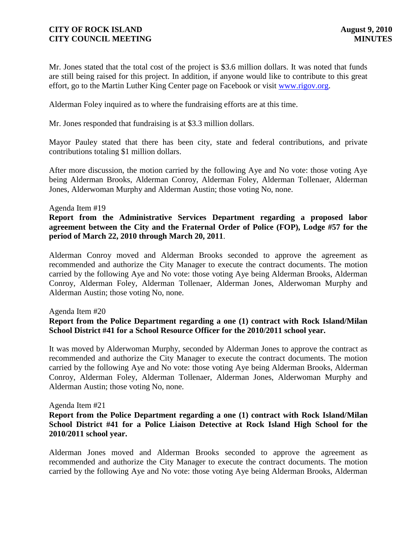Mr. Jones stated that the total cost of the project is \$3.6 million dollars. It was noted that funds are still being raised for this project. In addition, if anyone would like to contribute to this great effort, go to the Martin Luther King Center page on Facebook or visit [www.rigov.org.](http://www.rigov.org/)

Alderman Foley inquired as to where the fundraising efforts are at this time.

Mr. Jones responded that fundraising is at \$3.3 million dollars.

Mayor Pauley stated that there has been city, state and federal contributions, and private contributions totaling \$1 million dollars.

After more discussion, the motion carried by the following Aye and No vote: those voting Aye being Alderman Brooks, Alderman Conroy, Alderman Foley, Alderman Tollenaer, Alderman Jones, Alderwoman Murphy and Alderman Austin; those voting No, none.

#### Agenda Item #19

**Report from the Administrative Services Department regarding a proposed labor agreement between the City and the Fraternal Order of Police (FOP), Lodge #57 for the period of March 22, 2010 through March 20, 2011**.

Alderman Conroy moved and Alderman Brooks seconded to approve the agreement as recommended and authorize the City Manager to execute the contract documents. The motion carried by the following Aye and No vote: those voting Aye being Alderman Brooks, Alderman Conroy, Alderman Foley, Alderman Tollenaer, Alderman Jones, Alderwoman Murphy and Alderman Austin; those voting No, none.

#### Agenda Item #20

# **Report from the Police Department regarding a one (1) contract with Rock Island/Milan School District #41 for a School Resource Officer for the 2010/2011 school year.**

It was moved by Alderwoman Murphy, seconded by Alderman Jones to approve the contract as recommended and authorize the City Manager to execute the contract documents. The motion carried by the following Aye and No vote: those voting Aye being Alderman Brooks, Alderman Conroy, Alderman Foley, Alderman Tollenaer, Alderman Jones, Alderwoman Murphy and Alderman Austin; those voting No, none.

#### Agenda Item #21

### **Report from the Police Department regarding a one (1) contract with Rock Island/Milan School District #41 for a Police Liaison Detective at Rock Island High School for the 2010/2011 school year.**

Alderman Jones moved and Alderman Brooks seconded to approve the agreement as recommended and authorize the City Manager to execute the contract documents. The motion carried by the following Aye and No vote: those voting Aye being Alderman Brooks, Alderman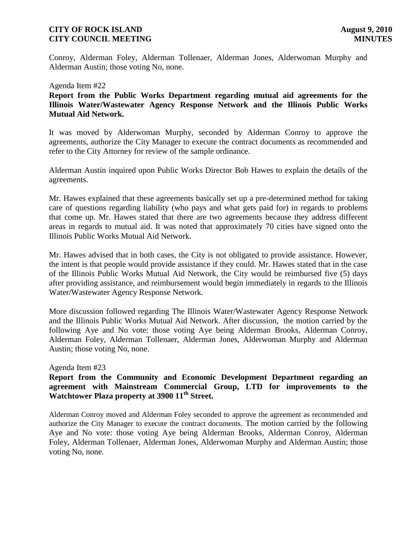Conroy, Alderman Foley, Alderman Tollenaer, Alderman Jones, Alderwoman Murphy and Alderman Austin; those voting No, none.

#### Agenda Item #22

**Report from the Public Works Department regarding mutual aid agreements for the Illinois Water/Wastewater Agency Response Network and the Illinois Public Works Mutual Aid Network.**

It was moved by Alderwoman Murphy, seconded by Alderman Conroy to approve the agreements, authorize the City Manager to execute the contract documents as recommended and refer to the City Attorney for review of the sample ordinance.

Alderman Austin inquired upon Public Works Director Bob Hawes to explain the details of the agreements.

Mr. Hawes explained that these agreements basically set up a pre-determined method for taking care of questions regarding liability (who pays and what gets paid for) in regards to problems that come up. Mr. Hawes stated that there are two agreements because they address different areas in regards to mutual aid. It was noted that approximately 70 cities have signed onto the Illinois Public Works Mutual Aid Network.

Mr. Hawes advised that in both cases, the City is not obligated to provide assistance. However, the intent is that people would provide assistance if they could. Mr. Hawes stated that in the case of the Illinois Public Works Mutual Aid Network, the City would be reimbursed five (5) days after providing assistance, and reimbursement would begin immediately in regards to the Illinois Water/Wastewater Agency Response Network.

More discussion followed regarding The Illinois Water/Wastewater Agency Response Network and the Illinois Public Works Mutual Aid Network. After discussion, the motion carried by the following Aye and No vote: those voting Aye being Alderman Brooks, Alderman Conroy, Alderman Foley, Alderman Tollenaer, Alderman Jones, Alderwoman Murphy and Alderman Austin; those voting No, none.

#### Agenda Item #23

# **Report from the Community and Economic Development Department regarding an agreement with Mainstream Commercial Group, LTD for improvements to the Watchtower Plaza property at 3900 11th Street.**

Alderman Conroy moved and Alderman Foley seconded to approve the agreement as recommended and authorize the City Manager to execute the contract documents. The motion carried by the following Aye and No vote: those voting Aye being Alderman Brooks, Alderman Conroy, Alderman Foley, Alderman Tollenaer, Alderman Jones, Alderwoman Murphy and Alderman Austin; those voting No, none.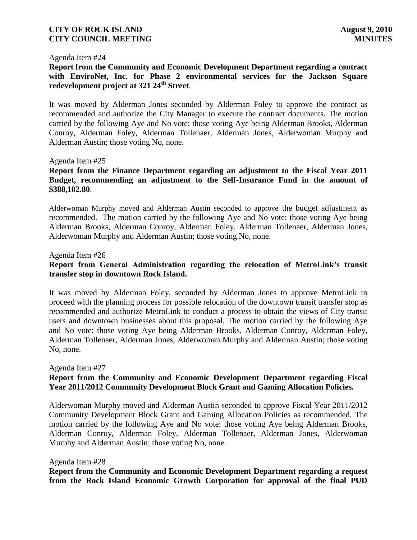#### Agenda Item #24

**Report from the Community and Economic Development Department regarding a contract with EnviroNet, Inc. for Phase 2 environmental services for the Jackson Square redevelopment project at 321 24th Street**.

It was moved by Alderman Jones seconded by Alderman Foley to approve the contract as recommended and authorize the City Manager to execute the contract documents. The motion carried by the following Aye and No vote: those voting Aye being Alderman Brooks, Alderman Conroy, Alderman Foley, Alderman Tollenaer, Alderman Jones, Alderwoman Murphy and Alderman Austin; those voting No, none.

#### Agenda Item #25

### **Report from the Finance Department regarding an adjustment to the Fiscal Year 2011 Budget, recommending an adjustment to the Self-Insurance Fund in the amount of \$388,102.80**.

Alderwoman Murphy moved and Alderman Austin seconded to approve the budget adjustment as recommended. The motion carried by the following Aye and No vote: those voting Aye being Alderman Brooks, Alderman Conroy, Alderman Foley, Alderman Tollenaer, Alderman Jones, Alderwoman Murphy and Alderman Austin; those voting No, none.

#### Agenda Item #26

## **Report from General Administration regarding the relocation of MetroLink's transit transfer stop in downtown Rock Island.**

It was moved by Alderman Foley, seconded by Alderman Jones to approve MetroLink to proceed with the planning process for possible relocation of the downtown transit transfer stop as recommended and authorize MetroLink to conduct a process to obtain the views of City transit users and downtown businesses about this proposal. The motion carried by the following Aye and No vote: those voting Aye being Alderman Brooks, Alderman Conroy, Alderman Foley, Alderman Tollenaer, Alderman Jones, Alderwoman Murphy and Alderman Austin; those voting No, none.

#### Agenda Item #27

### **Report from the Community and Economic Development Department regarding Fiscal Year 2011/2012 Community Development Block Grant and Gaming Allocation Policies.**

Alderwoman Murphy moved and Alderman Austin seconded to approve Fiscal Year 2011/2012 Community Development Block Grant and Gaming Allocation Policies as recommended. The motion carried by the following Aye and No vote: those voting Aye being Alderman Brooks, Alderman Conroy, Alderman Foley, Alderman Tollenaer, Alderman Jones, Alderwoman Murphy and Alderman Austin; those voting No, none.

#### Agenda Item #28

**Report from the Community and Economic Development Department regarding a request from the Rock Island Economic Growth Corporation for approval of the final PUD**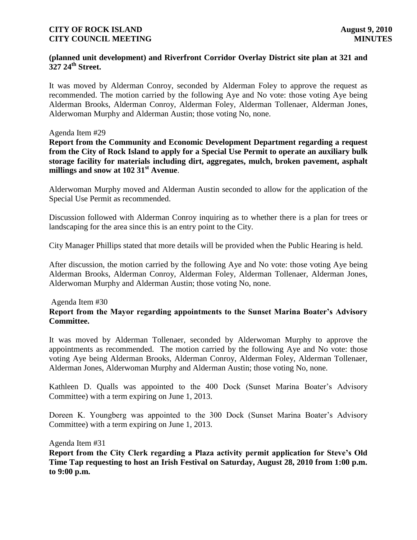### **(planned unit development) and Riverfront Corridor Overlay District site plan at 321 and 327 24th Street.**

It was moved by Alderman Conroy, seconded by Alderman Foley to approve the request as recommended. The motion carried by the following Aye and No vote: those voting Aye being Alderman Brooks, Alderman Conroy, Alderman Foley, Alderman Tollenaer, Alderman Jones, Alderwoman Murphy and Alderman Austin; those voting No, none.

#### Agenda Item #29

**Report from the Community and Economic Development Department regarding a request from the City of Rock Island to apply for a Special Use Permit to operate an auxiliary bulk storage facility for materials including dirt, aggregates, mulch, broken pavement, asphalt millings and snow at 102 31st Avenue**.

Alderwoman Murphy moved and Alderman Austin seconded to allow for the application of the Special Use Permit as recommended.

Discussion followed with Alderman Conroy inquiring as to whether there is a plan for trees or landscaping for the area since this is an entry point to the City.

City Manager Phillips stated that more details will be provided when the Public Hearing is held.

After discussion, the motion carried by the following Aye and No vote: those voting Aye being Alderman Brooks, Alderman Conroy, Alderman Foley, Alderman Tollenaer, Alderman Jones, Alderwoman Murphy and Alderman Austin; those voting No, none.

#### Agenda Item #30

# **Report from the Mayor regarding appointments to the Sunset Marina Boater's Advisory Committee.**

It was moved by Alderman Tollenaer, seconded by Alderwoman Murphy to approve the appointments as recommended. The motion carried by the following Aye and No vote: those voting Aye being Alderman Brooks, Alderman Conroy, Alderman Foley, Alderman Tollenaer, Alderman Jones, Alderwoman Murphy and Alderman Austin; those voting No, none.

Kathleen D. Qualls was appointed to the 400 Dock (Sunset Marina Boater's Advisory Committee) with a term expiring on June 1, 2013.

Doreen K. Youngberg was appointed to the 300 Dock (Sunset Marina Boater's Advisory Committee) with a term expiring on June 1, 2013.

Agenda Item #31

**Report from the City Clerk regarding a Plaza activity permit application for Steve's Old Time Tap requesting to host an Irish Festival on Saturday, August 28, 2010 from 1:00 p.m. to 9:00 p.m.**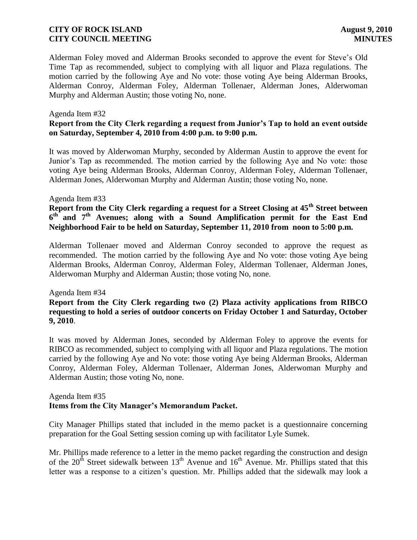Alderman Foley moved and Alderman Brooks seconded to approve the event for Steve's Old Time Tap as recommended, subject to complying with all liquor and Plaza regulations. The motion carried by the following Aye and No vote: those voting Aye being Alderman Brooks, Alderman Conroy, Alderman Foley, Alderman Tollenaer, Alderman Jones, Alderwoman Murphy and Alderman Austin; those voting No, none.

#### Agenda Item #32

### **Report from the City Clerk regarding a request from Junior's Tap to hold an event outside on Saturday, September 4, 2010 from 4:00 p.m. to 9:00 p.m.**

It was moved by Alderwoman Murphy, seconded by Alderman Austin to approve the event for Junior's Tap as recommended. The motion carried by the following Aye and No vote: those voting Aye being Alderman Brooks, Alderman Conroy, Alderman Foley, Alderman Tollenaer, Alderman Jones, Alderwoman Murphy and Alderman Austin; those voting No, none.

#### Agenda Item #33

**Report from the City Clerk regarding a request for a Street Closing at 45th Street between**   $6<sup>th</sup>$  and 7<sup>th</sup> Avenues; along with a Sound Amplification permit for the East End **Neighborhood Fair to be held on Saturday, September 11, 2010 from noon to 5:00 p.m.**

Alderman Tollenaer moved and Alderman Conroy seconded to approve the request as recommended. The motion carried by the following Aye and No vote: those voting Aye being Alderman Brooks, Alderman Conroy, Alderman Foley, Alderman Tollenaer, Alderman Jones, Alderwoman Murphy and Alderman Austin; those voting No, none.

#### Agenda Item #34

## **Report from the City Clerk regarding two (2) Plaza activity applications from RIBCO requesting to hold a series of outdoor concerts on Friday October 1 and Saturday, October 9, 2010**.

It was moved by Alderman Jones, seconded by Alderman Foley to approve the events for RIBCO as recommended, subject to complying with all liquor and Plaza regulations. The motion carried by the following Aye and No vote: those voting Aye being Alderman Brooks, Alderman Conroy, Alderman Foley, Alderman Tollenaer, Alderman Jones, Alderwoman Murphy and Alderman Austin; those voting No, none.

### Agenda Item #35 **Items from the City Manager's Memorandum Packet.**

City Manager Phillips stated that included in the memo packet is a questionnaire concerning preparation for the Goal Setting session coming up with facilitator Lyle Sumek.

Mr. Phillips made reference to a letter in the memo packet regarding the construction and design of the  $20<sup>th</sup>$  Street sidewalk between  $13<sup>th</sup>$  Avenue and  $16<sup>th</sup>$  Avenue. Mr. Phillips stated that this letter was a response to a citizen's question. Mr. Phillips added that the sidewalk may look a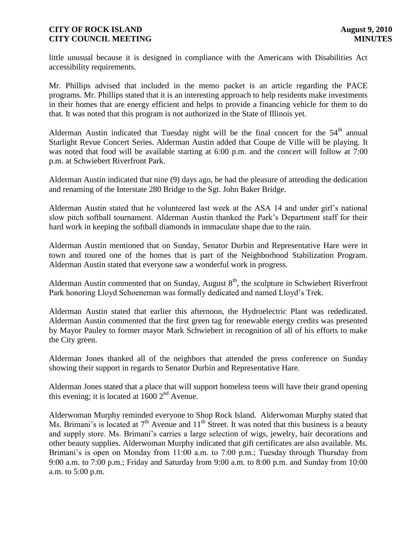little unusual because it is designed in compliance with the Americans with Disabilities Act accessibility requirements.

Mr. Phillips advised that included in the memo packet is an article regarding the PACE programs. Mr. Phillips stated that it is an interesting approach to help residents make investments in their homes that are energy efficient and helps to provide a financing vehicle for them to do that. It was noted that this program is not authorized in the State of Illinois yet.

Alderman Austin indicated that Tuesday night will be the final concert for the  $54<sup>th</sup>$  annual Starlight Revue Concert Series. Alderman Austin added that Coupe de Ville will be playing. It was noted that food will be available starting at 6:00 p.m. and the concert will follow at 7:00 p.m. at Schwiebert Riverfront Park.

Alderman Austin indicated that nine (9) days ago, he had the pleasure of attending the dedication and renaming of the Interstate 280 Bridge to the Sgt. John Baker Bridge.

Alderman Austin stated that he volunteered last week at the ASA 14 and under girl's national slow pitch softball tournament. Alderman Austin thanked the Park's Department staff for their hard work in keeping the softball diamonds in immaculate shape due to the rain.

Alderman Austin mentioned that on Sunday, Senator Durbin and Representative Hare were in town and toured one of the homes that is part of the Neighborhood Stabilization Program. Alderman Austin stated that everyone saw a wonderful work in progress.

Alderman Austin commented that on Sunday, August  $8<sup>th</sup>$ , the sculpture in Schwiebert Riverfront Park honoring Lloyd Schoeneman was formally dedicated and named Lloyd's Trek.

Alderman Austin stated that earlier this afternoon, the Hydroelectric Plant was rededicated. Alderman Austin commented that the first green tag for renewable energy credits was presented by Mayor Pauley to former mayor Mark Schwiebert in recognition of all of his efforts to make the City green.

Alderman Jones thanked all of the neighbors that attended the press conference on Sunday showing their support in regards to Senator Durbin and Representative Hare.

Alderman Jones stated that a place that will support homeless teens will have their grand opening this evening; it is located at  $1600 2<sup>nd</sup>$  Avenue.

Alderwoman Murphy reminded everyone to Shop Rock Island. Alderwoman Murphy stated that Ms. Brimani's is located at  $7<sup>th</sup>$  Avenue and  $11<sup>th</sup>$  Street. It was noted that this business is a beauty and supply store. Ms. Brimani's carries a large selection of wigs, jewelry, hair decorations and other beauty supplies. Alderwoman Murphy indicated that gift certificates are also available. Ms. Brimani's is open on Monday from 11:00 a.m. to 7:00 p.m.; Tuesday through Thursday from 9:00 a.m. to 7:00 p.m.; Friday and Saturday from 9:00 a.m. to 8:00 p.m. and Sunday from 10:00 a.m. to 5:00 p.m.